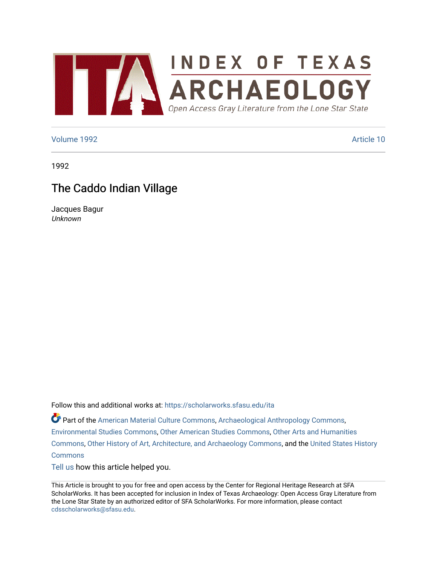

### [Volume 1992](https://scholarworks.sfasu.edu/ita/vol1992) [Article 10](https://scholarworks.sfasu.edu/ita/vol1992/iss1/10)

1992

# The Caddo Indian Village

Jacques Bagur Unknown

Follow this and additional works at: [https://scholarworks.sfasu.edu/ita](https://scholarworks.sfasu.edu/ita?utm_source=scholarworks.sfasu.edu%2Fita%2Fvol1992%2Fiss1%2F10&utm_medium=PDF&utm_campaign=PDFCoverPages) 

Part of the [American Material Culture Commons,](http://network.bepress.com/hgg/discipline/442?utm_source=scholarworks.sfasu.edu%2Fita%2Fvol1992%2Fiss1%2F10&utm_medium=PDF&utm_campaign=PDFCoverPages) [Archaeological Anthropology Commons,](http://network.bepress.com/hgg/discipline/319?utm_source=scholarworks.sfasu.edu%2Fita%2Fvol1992%2Fiss1%2F10&utm_medium=PDF&utm_campaign=PDFCoverPages) [Environmental Studies Commons,](http://network.bepress.com/hgg/discipline/1333?utm_source=scholarworks.sfasu.edu%2Fita%2Fvol1992%2Fiss1%2F10&utm_medium=PDF&utm_campaign=PDFCoverPages) [Other American Studies Commons](http://network.bepress.com/hgg/discipline/445?utm_source=scholarworks.sfasu.edu%2Fita%2Fvol1992%2Fiss1%2F10&utm_medium=PDF&utm_campaign=PDFCoverPages), [Other Arts and Humanities](http://network.bepress.com/hgg/discipline/577?utm_source=scholarworks.sfasu.edu%2Fita%2Fvol1992%2Fiss1%2F10&utm_medium=PDF&utm_campaign=PDFCoverPages) [Commons](http://network.bepress.com/hgg/discipline/577?utm_source=scholarworks.sfasu.edu%2Fita%2Fvol1992%2Fiss1%2F10&utm_medium=PDF&utm_campaign=PDFCoverPages), [Other History of Art, Architecture, and Archaeology Commons,](http://network.bepress.com/hgg/discipline/517?utm_source=scholarworks.sfasu.edu%2Fita%2Fvol1992%2Fiss1%2F10&utm_medium=PDF&utm_campaign=PDFCoverPages) and the [United States History](http://network.bepress.com/hgg/discipline/495?utm_source=scholarworks.sfasu.edu%2Fita%2Fvol1992%2Fiss1%2F10&utm_medium=PDF&utm_campaign=PDFCoverPages)  **[Commons](http://network.bepress.com/hgg/discipline/495?utm_source=scholarworks.sfasu.edu%2Fita%2Fvol1992%2Fiss1%2F10&utm_medium=PDF&utm_campaign=PDFCoverPages)** 

[Tell us](http://sfasu.qualtrics.com/SE/?SID=SV_0qS6tdXftDLradv) how this article helped you.

This Article is brought to you for free and open access by the Center for Regional Heritage Research at SFA ScholarWorks. It has been accepted for inclusion in Index of Texas Archaeology: Open Access Gray Literature from the Lone Star State by an authorized editor of SFA ScholarWorks. For more information, please contact [cdsscholarworks@sfasu.edu.](mailto:cdsscholarworks@sfasu.edu)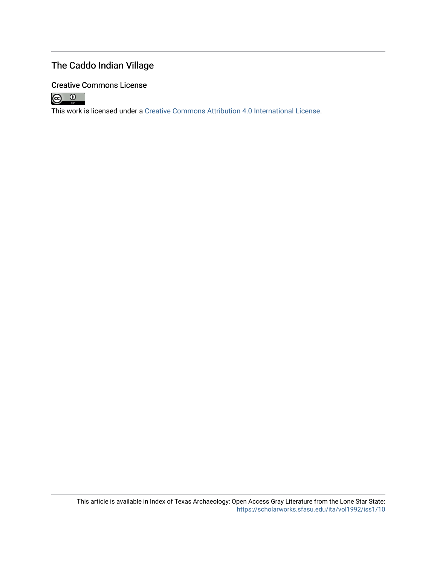## The Caddo Indian Village

## Creative Commons License



This work is licensed under a [Creative Commons Attribution 4.0 International License.](https://creativecommons.org/licenses/by/4.0/)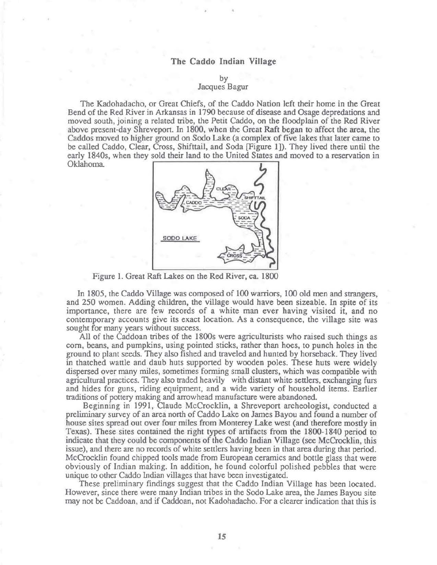### **The Caddo Indian Village**

by

#### Jacques Bagur

The Kadohadacho, or Great Chiefs, of the Caddo Nation left their home in the Great Bend of the Red River in Arkansas in 1790 because of disease and Osage depredations and moved south, joining a related tribe, the Petit Caddo, on the floodplain of the Red River above present-day Shrevepon. In 1800, when the Great Raft began to affect the area, the Caddos moved to higher ground on Sodo Lake (a complex of five lakes that later came to be called Caddo, Clear, Cross, Shifttail, and Soda [Figure 1]). They lived there until the early 1840s, when they sold their land to the United States and moved to a reservation in



Figure I. Great Raft Lakes on the Red River, ca. 1800

In 1805, the Caddo Village was composed of 100 warriors, 100 old men and strangers, and 250 women. Adding children, the village would have been sizeable. In spite of its importance, there are few records of a white man ever having visited it, and no contemporary accounts give its exact location. As a consequence, the village site was sought for many years without success.

All of the Caddoan tribes of the 1800s were agriculturists who raised such things as corn, beans, and pumpkins, using pointed sticks, rather than hoes, to punch holes in the ground to plant seeds. They also fished and traveled and hunted by horseback. They lived in thatched wattle and daub huts supported by wooden poles. These huts were widely dispersed over many miles, sometimes fonning small clusters, which was compatible with agricultural practices. They also traded heavily with distant white settlers, exchanging furs and hides for guns, riding equipment, and a wide variety of household items. Earlier traditions of pottery making and arrowhead manufacture were abandoned.

Beginning in 1991, Claude McCrocklin, a Shreveport archeologist, conducted a preliminary survey of an area north of Caddo Lake on James Bayou and found a number of house sites spread out over four miles from Monterey Lake west (and therefore mostly in Texas). These sites contained the right types of artifacts from the 1800-1840 period to indicate that they could be components of the Caddo Indian Village (see McCrocklin, this issue), and there are no records of white settlers having been in that area during that period. McCrocklin found chipped tools made from European ceramics and bottle glass that were obviously of Indian making. In addition, he found colorful polished pebbles that were unique to other Caddo Indian villages that have been investigated.

These preliminary findings suggest that the Caddo Indian Village has been located. However, since there were many Indian tribes in the Sodo Lake area, the James Bayou site may not be Caddoan, and if Caddoan, not Kadohadacho. For a clearer indication that this is